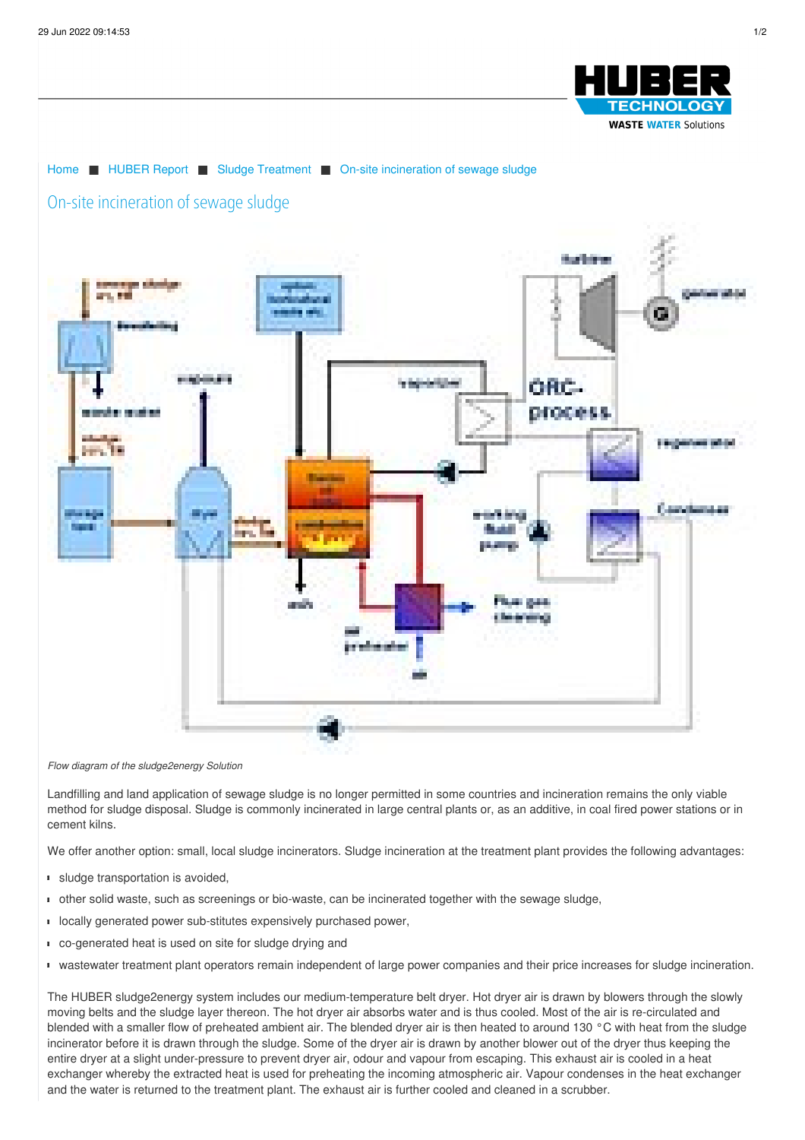



## *Flow diagram of the sludge2energy Solution*

Landfilling and land application of sewage sludge is no longer permitted in some countries and incineration remains the only viable method for sludge disposal. Sludge is commonly incinerated in large central plants or, as an additive, in coal fired power stations or in cement kilns.

We offer another option: small, local sludge incinerators. Sludge incineration at the treatment plant provides the following advantages:

- sludge transportation is avoided,
- other solid waste, such as screenings or bio-waste, can be incinerated together with the sewage sludge,
- **I** locally generated power sub-stitutes expensively purchased power,
- co-generated heat is used on site for sludge drying and
- wastewater treatment plant operators remain independent of large power companies and their price increases for sludge incineration.

The HUBER sludge2energy system includes our medium-temperature belt dryer. Hot dryer air is drawn by blowers through the slowly moving belts and the sludge layer thereon. The hot dryer air absorbs water and is thus cooled. Most of the air is re-circulated and blended with a smaller flow of preheated ambient air. The blended dryer air is then heated to around 130 °C with heat from the sludge incinerator before it is drawn through the sludge. Some of the dryer air is drawn by another blower out of the dryer thus keeping the entire dryer at a slight under-pressure to prevent dryer air, odour and vapour from escaping. This exhaust air is cooled in a heat exchanger whereby the extracted heat is used for preheating the incoming atmospheric air. Vapour condenses in the heat exchanger and the water is returned to the treatment plant. The exhaust air is further cooled and cleaned in a scrubber.